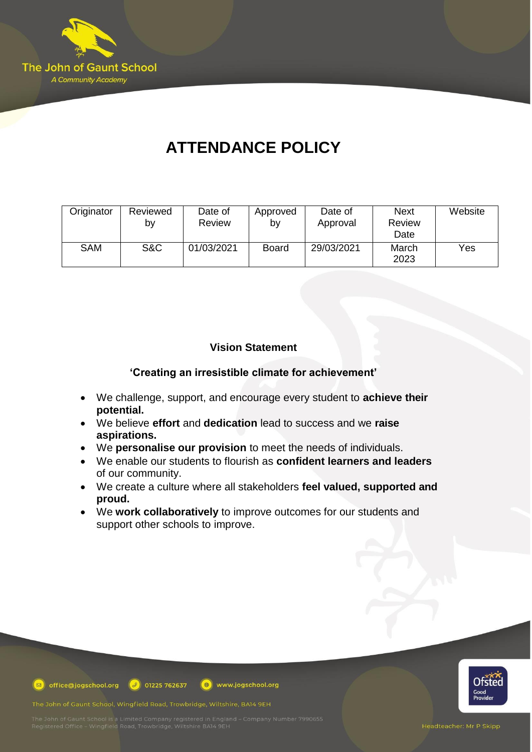

# **ATTENDANCE POLICY**

| Originator | Reviewed<br>b٧ | Date of<br>Review | Approved<br>b٧ | Date of<br>Approval | <b>Next</b><br><b>Review</b><br>Date | Website |
|------------|----------------|-------------------|----------------|---------------------|--------------------------------------|---------|
| <b>SAM</b> | S&C            | 01/03/2021        | <b>Board</b>   | 29/03/2021          | March<br>2023                        | Yes     |

# **Vision Statement**

# **'Creating an irresistible climate for achievement'**

- We challenge, support, and encourage every student to **achieve their potential.**
- We believe **effort** and **dedication** lead to success and we **raise aspirations.**
- We **personalise our provision** to meet the needs of individuals.
- We enable our students to flourish as **confident learners and leaders** of our community.
- We create a culture where all stakeholders **feel valued, supported and proud.**
- We **work collaboratively** to improve outcomes for our students and support other schools to improve.



**D** office@jogschool.org  $\boxed{\theta}$  01225 762637 www.jogschool.org

The John of Gaunt School, Wingfield Road, Trowbridge, Wiltshire, BA14 9EH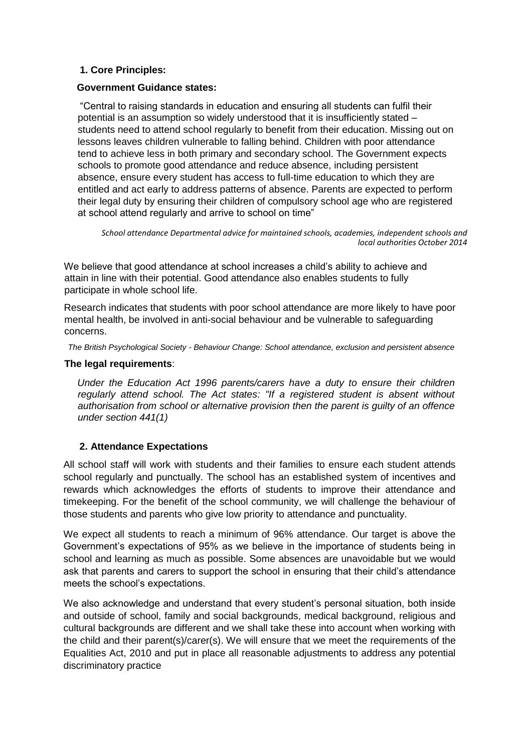## **1. Core Principles:**

## **Government Guidance states:**

"Central to raising standards in education and ensuring all students can fulfil their potential is an assumption so widely understood that it is insufficiently stated – students need to attend school regularly to benefit from their education. Missing out on lessons leaves children vulnerable to falling behind. Children with poor attendance tend to achieve less in both primary and secondary school. The Government expects schools to promote good attendance and reduce absence, including persistent absence, ensure every student has access to full-time education to which they are entitled and act early to address patterns of absence. Parents are expected to perform their legal duty by ensuring their children of compulsory school age who are registered at school attend regularly and arrive to school on time"

*School attendance Departmental advice for maintained schools, academies, independent schools and local authorities October 2014*

We believe that good attendance at school increases a child's ability to achieve and attain in line with their potential. Good attendance also enables students to fully participate in whole school life.

Research indicates that students with poor school attendance are more likely to have poor mental health, be involved in anti-social behaviour and be vulnerable to safeguarding concerns.

*The British Psychological Society - Behaviour Change: School attendance, exclusion and persistent absence*

## **The legal requirements**:

*Under the Education Act 1996 parents/carers have a duty to ensure their children regularly attend school. The Act states: "If a registered student is absent without authorisation from school or alternative provision then the parent is guilty of an offence under section 441(1)*

# **2. Attendance Expectations**

All school staff will work with students and their families to ensure each student attends school regularly and punctually. The school has an established system of incentives and rewards which acknowledges the efforts of students to improve their attendance and timekeeping. For the benefit of the school community, we will challenge the behaviour of those students and parents who give low priority to attendance and punctuality.

We expect all students to reach a minimum of 96% attendance. Our target is above the Government's expectations of 95% as we believe in the importance of students being in school and learning as much as possible. Some absences are unavoidable but we would ask that parents and carers to support the school in ensuring that their child's attendance meets the school's expectations.

We also acknowledge and understand that every student's personal situation, both inside and outside of school, family and social backgrounds, medical background, religious and cultural backgrounds are different and we shall take these into account when working with the child and their parent(s)/carer(s). We will ensure that we meet the requirements of the Equalities Act, 2010 and put in place all reasonable adjustments to address any potential discriminatory practice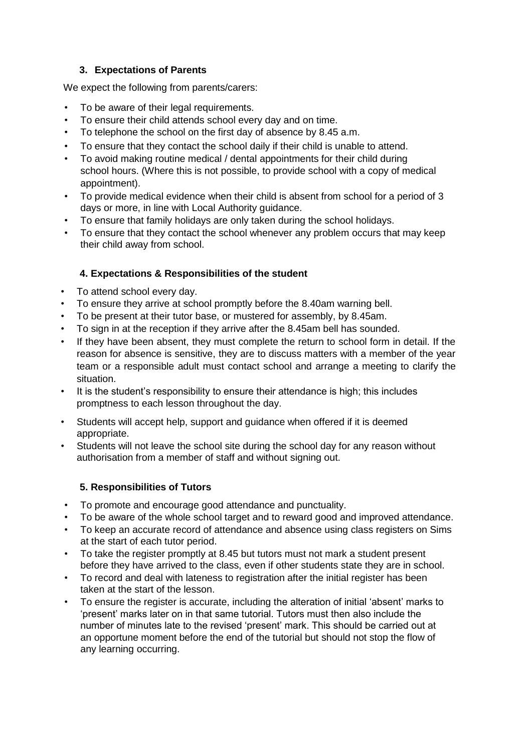# **3. Expectations of Parents**

We expect the following from parents/carers:

- To be aware of their legal requirements.
- To ensure their child attends school every day and on time.
- To telephone the school on the first day of absence by 8.45 a.m.
- To ensure that they contact the school daily if their child is unable to attend.
- To avoid making routine medical / dental appointments for their child during school hours. (Where this is not possible, to provide school with a copy of medical appointment).
- To provide medical evidence when their child is absent from school for a period of 3 days or more, in line with Local Authority guidance.
- To ensure that family holidays are only taken during the school holidays.
- To ensure that they contact the school whenever any problem occurs that may keep their child away from school.

## **4. Expectations & Responsibilities of the student**

- To attend school every day.
- To ensure they arrive at school promptly before the 8.40am warning bell.
- To be present at their tutor base, or mustered for assembly, by 8.45am.
- To sign in at the reception if they arrive after the 8.45am bell has sounded.
- If they have been absent, they must complete the return to school form in detail. If the reason for absence is sensitive, they are to discuss matters with a member of the year team or a responsible adult must contact school and arrange a meeting to clarify the situation.
- It is the student's responsibility to ensure their attendance is high; this includes promptness to each lesson throughout the day.
- Students will accept help, support and guidance when offered if it is deemed appropriate.
- Students will not leave the school site during the school day for any reason without authorisation from a member of staff and without signing out.

# **5. Responsibilities of Tutors**

- To promote and encourage good attendance and punctuality.
- To be aware of the whole school target and to reward good and improved attendance.
- To keep an accurate record of attendance and absence using class registers on Sims at the start of each tutor period.
- To take the register promptly at 8.45 but tutors must not mark a student present before they have arrived to the class, even if other students state they are in school.
- To record and deal with lateness to registration after the initial register has been taken at the start of the lesson.
- To ensure the register is accurate, including the alteration of initial 'absent' marks to 'present' marks later on in that same tutorial. Tutors must then also include the number of minutes late to the revised 'present' mark. This should be carried out at an opportune moment before the end of the tutorial but should not stop the flow of any learning occurring.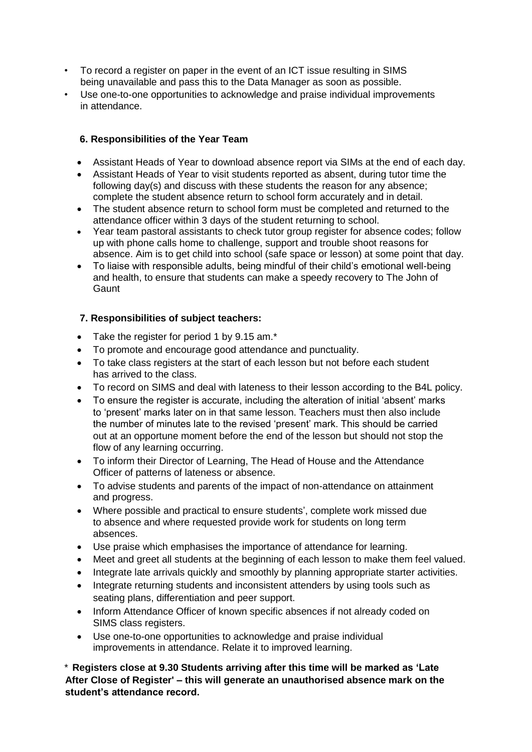- To record a register on paper in the event of an ICT issue resulting in SIMS being unavailable and pass this to the Data Manager as soon as possible.
- Use one-to-one opportunities to acknowledge and praise individual improvements in attendance.

# **6. Responsibilities of the Year Team**

- Assistant Heads of Year to download absence report via SIMs at the end of each day.
- Assistant Heads of Year to visit students reported as absent, during tutor time the following day(s) and discuss with these students the reason for any absence; complete the student absence return to school form accurately and in detail.
- The student absence return to school form must be completed and returned to the attendance officer within 3 days of the student returning to school.
- Year team pastoral assistants to check tutor group register for absence codes; follow up with phone calls home to challenge, support and trouble shoot reasons for absence. Aim is to get child into school (safe space or lesson) at some point that day.
- To liaise with responsible adults, being mindful of their child's emotional well-being and health, to ensure that students can make a speedy recovery to The John of **Gaunt**

# **7. Responsibilities of subject teachers:**

- Take the register for period 1 by 9.15 am.\*
- To promote and encourage good attendance and punctuality.
- To take class registers at the start of each lesson but not before each student has arrived to the class.
- To record on SIMS and deal with lateness to their lesson according to the B4L policy.
- To ensure the register is accurate, including the alteration of initial 'absent' marks to 'present' marks later on in that same lesson. Teachers must then also include the number of minutes late to the revised 'present' mark. This should be carried out at an opportune moment before the end of the lesson but should not stop the flow of any learning occurring.
- To inform their Director of Learning, The Head of House and the Attendance Officer of patterns of lateness or absence.
- To advise students and parents of the impact of non-attendance on attainment and progress.
- Where possible and practical to ensure students', complete work missed due to absence and where requested provide work for students on long term absences.
- Use praise which emphasises the importance of attendance for learning.
- Meet and greet all students at the beginning of each lesson to make them feel valued.
- Integrate late arrivals quickly and smoothly by planning appropriate starter activities.
- Integrate returning students and inconsistent attenders by using tools such as seating plans, differentiation and peer support.
- Inform Attendance Officer of known specific absences if not already coded on SIMS class registers.
- Use one-to-one opportunities to acknowledge and praise individual improvements in attendance. Relate it to improved learning.

\* **Registers close at 9.30 Students arriving after this time will be marked as 'Late After Close of Register' – this will generate an unauthorised absence mark on the student's attendance record.**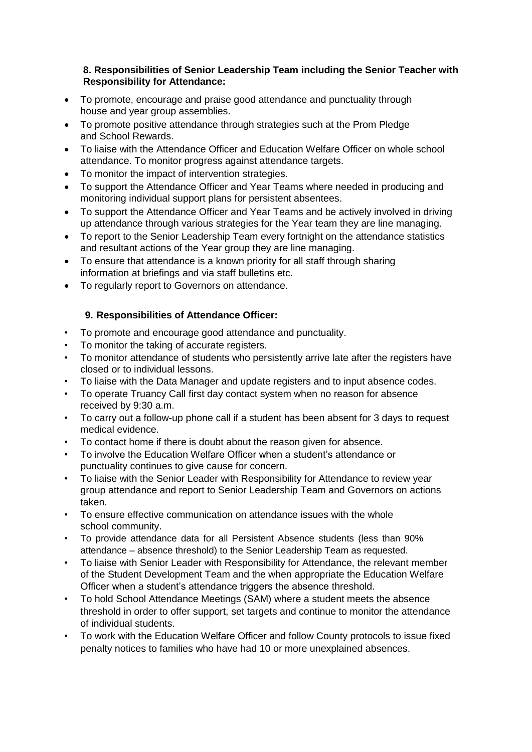## **8. Responsibilities of Senior Leadership Team including the Senior Teacher with Responsibility for Attendance:**

- To promote, encourage and praise good attendance and punctuality through house and year group assemblies.
- To promote positive attendance through strategies such at the Prom Pledge and School Rewards.
- To liaise with the Attendance Officer and Education Welfare Officer on whole school attendance. To monitor progress against attendance targets.
- To monitor the impact of intervention strategies.
- To support the Attendance Officer and Year Teams where needed in producing and monitoring individual support plans for persistent absentees.
- To support the Attendance Officer and Year Teams and be actively involved in driving up attendance through various strategies for the Year team they are line managing.
- To report to the Senior Leadership Team every fortnight on the attendance statistics and resultant actions of the Year group they are line managing.
- To ensure that attendance is a known priority for all staff through sharing information at briefings and via staff bulletins etc.
- To regularly report to Governors on attendance.

# **9. Responsibilities of Attendance Officer:**

- To promote and encourage good attendance and punctuality.
- To monitor the taking of accurate registers.
- To monitor attendance of students who persistently arrive late after the registers have closed or to individual lessons.
- To liaise with the Data Manager and update registers and to input absence codes.
- To operate Truancy Call first day contact system when no reason for absence received by 9:30 a.m.
- To carry out a follow-up phone call if a student has been absent for 3 days to request medical evidence.
- To contact home if there is doubt about the reason given for absence.
- To involve the Education Welfare Officer when a student's attendance or punctuality continues to give cause for concern.
- To liaise with the Senior Leader with Responsibility for Attendance to review year group attendance and report to Senior Leadership Team and Governors on actions taken.
- To ensure effective communication on attendance issues with the whole school community.
- To provide attendance data for all Persistent Absence students (less than 90% attendance – absence threshold) to the Senior Leadership Team as requested.
- To liaise with Senior Leader with Responsibility for Attendance, the relevant member of the Student Development Team and the when appropriate the Education Welfare Officer when a student's attendance triggers the absence threshold.
- To hold School Attendance Meetings (SAM) where a student meets the absence threshold in order to offer support, set targets and continue to monitor the attendance of individual students.
- To work with the Education Welfare Officer and follow County protocols to issue fixed penalty notices to families who have had 10 or more unexplained absences.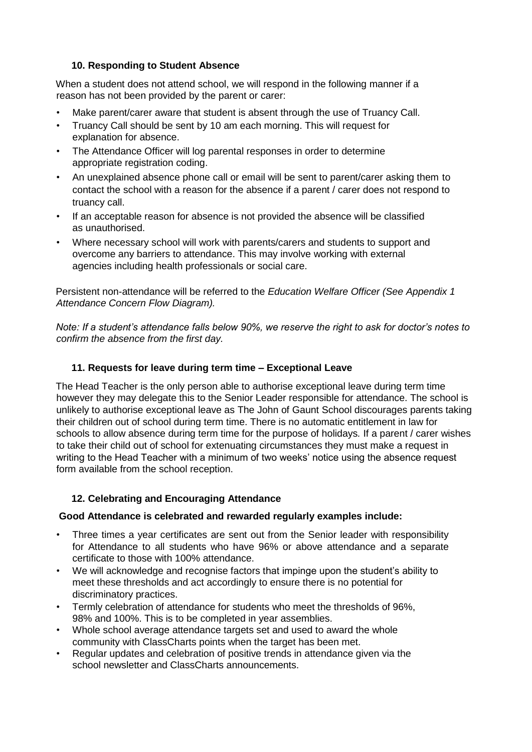## **10. Responding to Student Absence**

When a student does not attend school, we will respond in the following manner if a reason has not been provided by the parent or carer:

- Make parent/carer aware that student is absent through the use of Truancy Call.
- Truancy Call should be sent by 10 am each morning. This will request for explanation for absence.
- The Attendance Officer will log parental responses in order to determine appropriate registration coding.
- An unexplained absence phone call or email will be sent to parent/carer asking them to contact the school with a reason for the absence if a parent / carer does not respond to truancy call.
- If an acceptable reason for absence is not provided the absence will be classified as unauthorised.
- Where necessary school will work with parents/carers and students to support and overcome any barriers to attendance. This may involve working with external agencies including health professionals or social care.

Persistent non-attendance will be referred to the *Education Welfare Officer (See Appendix 1 Attendance Concern Flow Diagram).*

*Note: If a student's attendance falls below 90%, we reserve the right to ask for doctor's notes to confirm the absence from the first day.*

# **11. Requests for leave during term time – Exceptional Leave**

The Head Teacher is the only person able to authorise exceptional leave during term time however they may delegate this to the Senior Leader responsible for attendance. The school is unlikely to authorise exceptional leave as The John of Gaunt School discourages parents taking their children out of school during term time. There is no automatic entitlement in law for schools to allow absence during term time for the purpose of holidays*.* If a parent / carer wishes to take their child out of school for extenuating circumstances they must make a request in writing to the Head Teacher with a minimum of two weeks' notice using the absence request form available from the school reception.

# **12. Celebrating and Encouraging Attendance**

#### **Good Attendance is celebrated and rewarded regularly examples include:**

- Three times a year certificates are sent out from the Senior leader with responsibility for Attendance to all students who have 96% or above attendance and a separate certificate to those with 100% attendance.
- We will acknowledge and recognise factors that impinge upon the student's ability to meet these thresholds and act accordingly to ensure there is no potential for discriminatory practices.
- Termly celebration of attendance for students who meet the thresholds of 96%, 98% and 100%. This is to be completed in year assemblies.
- Whole school average attendance targets set and used to award the whole community with ClassCharts points when the target has been met.
- Regular updates and celebration of positive trends in attendance given via the school newsletter and ClassCharts announcements.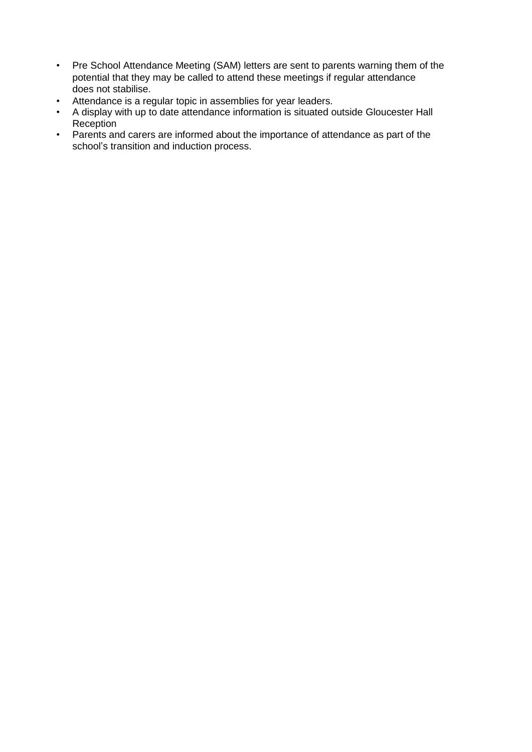- Pre School Attendance Meeting (SAM) letters are sent to parents warning them of the potential that they may be called to attend these meetings if regular attendance does not stabilise.
- Attendance is a regular topic in assemblies for year leaders.
- A display with up to date attendance information is situated outside Gloucester Hall Reception
- Parents and carers are informed about the importance of attendance as part of the school's transition and induction process.